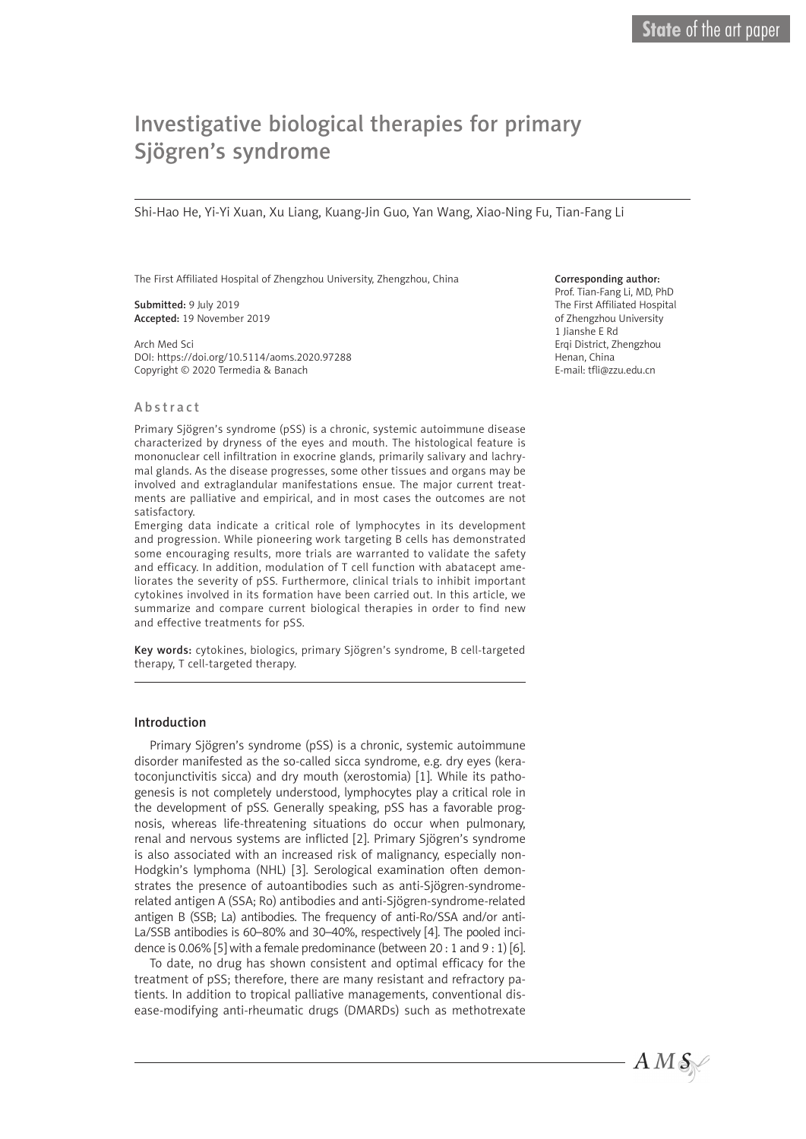# Investigative biological therapies for primary Sjögren's syndrome

Shi-Hao He, Yi-Yi Xuan, Xu Liang, Kuang-Jin Guo, Yan Wang, Xiao-Ning Fu, Tian-Fang Li

The First Affiliated Hospital of Zhengzhou University, Zhengzhou, China

Submitted: 9 July 2019 Accepted: 19 November 2019

Arch Med Sci DOI: https://doi.org/10.5114/aoms.2020.97288 Copyright © 2020 Termedia & Banach

## Abstract

Primary Sjögren's syndrome (pSS) is a chronic, systemic autoimmune disease characterized by dryness of the eyes and mouth. The histological feature is mononuclear cell infiltration in exocrine glands, primarily salivary and lachrymal glands. As the disease progresses, some other tissues and organs may be involved and extraglandular manifestations ensue. The major current treatments are palliative and empirical, and in most cases the outcomes are not satisfactory.

Emerging data indicate a critical role of lymphocytes in its development and progression. While pioneering work targeting B cells has demonstrated some encouraging results, more trials are warranted to validate the safety and efficacy. In addition, modulation of T cell function with abatacept ameliorates the severity of pSS. Furthermore, clinical trials to inhibit important cytokines involved in its formation have been carried out. In this article, we summarize and compare current biological therapies in order to find new and effective treatments for pSS.

Key words: cytokines, biologics, primary Sjögren's syndrome, B cell-targeted therapy, T cell-targeted therapy.

#### Introduction

Primary Sjögren's syndrome (pSS) is a chronic, systemic autoimmune disorder manifested as the so-called sicca syndrome, e.g. dry eyes (keratoconjunctivitis sicca) and dry mouth (xerostomia) [1]. While its pathogenesis is not completely understood, lymphocytes play a critical role in the development of pSS. Generally speaking, pSS has a favorable prognosis, whereas life-threatening situations do occur when pulmonary, renal and nervous systems are inflicted [2]. Primary Sjögren's syndrome is also associated with an increased risk of malignancy, especially non-Hodgkin's lymphoma (NHL) [3]. Serological examination often demonstrates the presence of autoantibodies such as anti-Sjögren-syndromerelated antigen A (SSA; Ro) antibodies and anti-Sjögren-syndrome-related antigen B (SSB; La) antibodies. The frequency of anti-Ro/SSA and/or anti-La/SSB antibodies is 60–80% and 30–40%, respectively [4]. The pooled incidence is 0.06% [5] with a female predominance (between 20 : 1 and  $9:1$ ) [6].

To date, no drug has shown consistent and optimal efficacy for the treatment of pSS; therefore, there are many resistant and refractory patients. In addition to tropical palliative managements, conventional disease-modifying anti-rheumatic drugs (DMARDs) such as methotrexate

#### Corresponding author:

Prof. Tian-Fang Li, MD, PhD The First Affiliated Hospital of Zhengzhou University 1 Jianshe E Rd Erqi District, Zhengzhou Henan, China E-mail: tfli@zzu.edu.cn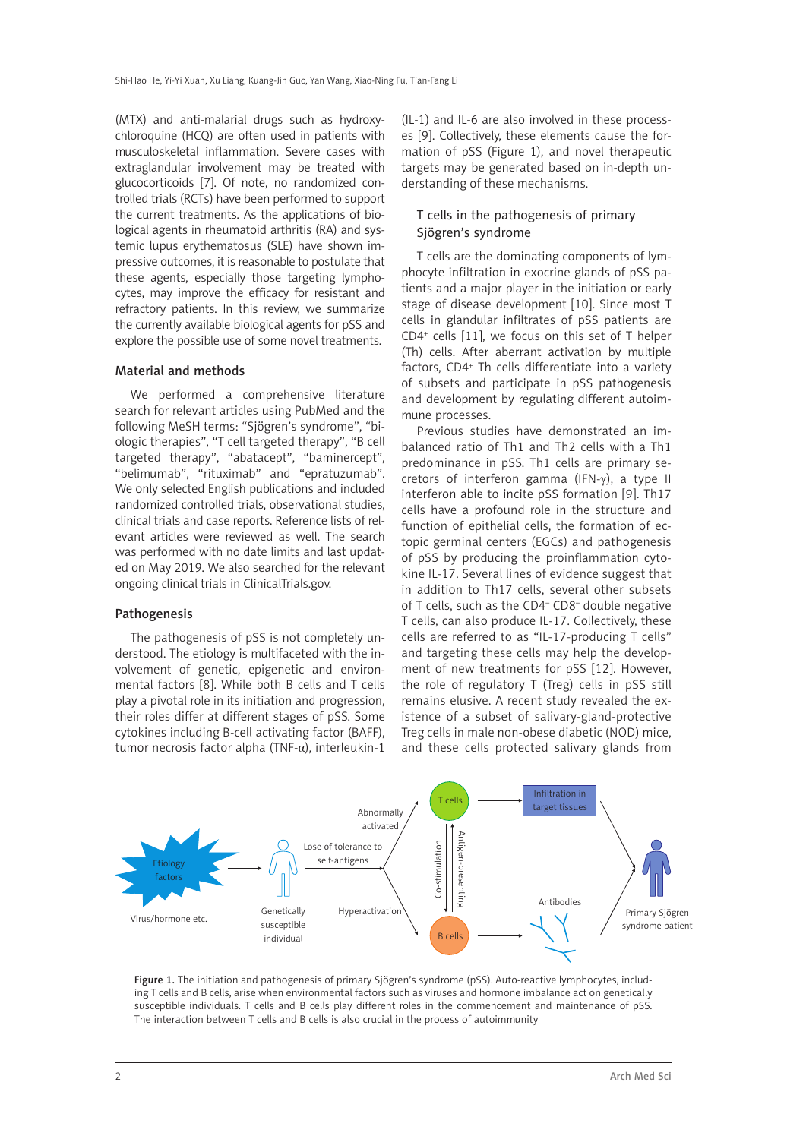(MTX) and anti-malarial drugs such as hydroxychloroquine (HCQ) are often used in patients with musculoskeletal inflammation. Severe cases with extraglandular involvement may be treated with glucocorticoids [7]. Of note, no randomized controlled trials (RCTs) have been performed to support the current treatments. As the applications of biological agents in rheumatoid arthritis (RA) and systemic lupus erythematosus (SLE) have shown impressive outcomes, it is reasonable to postulate that these agents, especially those targeting lymphocytes, may improve the efficacy for resistant and refractory patients. In this review, we summarize the currently available biological agents for pSS and explore the possible use of some novel treatments.

## Material and methods

We performed a comprehensive literature search for relevant articles using PubMed and the following MeSH terms: "Sjögren's syndrome", "biologic therapies", "T cell targeted therapy", "B cell targeted therapy", "abatacept", "baminercept", "belimumab", "rituximab" and "epratuzumab". We only selected English publications and included randomized controlled trials, observational studies, clinical trials and case reports. Reference lists of relevant articles were reviewed as well. The search was performed with no date limits and last updated on May 2019. We also searched for the relevant ongoing clinical trials in ClinicalTrials.gov.

#### Pathogenesis

The pathogenesis of pSS is not completely understood. The etiology is multifaceted with the involvement of genetic, epigenetic and environmental factors [8]. While both B cells and T cells play a pivotal role in its initiation and progression, their roles differ at different stages of pSS. Some cytokines including B-cell activating factor (BAFF), tumor necrosis factor alpha (TNF-α), interleukin-1

(IL-1) and IL-6 are also involved in these processes [9]. Collectively, these elements cause the formation of pSS (Figure 1), and novel therapeutic targets may be generated based on in-depth understanding of these mechanisms.

## T cells in the pathogenesis of primary Sjögren's syndrome

T cells are the dominating components of lymphocyte infiltration in exocrine glands of pSS patients and a major player in the initiation or early stage of disease development [10]. Since most T cells in glandular infiltrates of pSS patients are CD4+ cells [11], we focus on this set of T helper (Th) cells. After aberrant activation by multiple factors, CD4<sup>+</sup> Th cells differentiate into a variety of subsets and participate in pSS pathogenesis and development by regulating different autoimmune processes.

Previous studies have demonstrated an imbalanced ratio of Th1 and Th2 cells with a Th1 predominance in pSS. Th1 cells are primary secretors of interferon gamma (IFN-γ), a type II interferon able to incite pSS formation [9]. Th17 cells have a profound role in the structure and function of epithelial cells, the formation of ectopic germinal centers (EGCs) and pathogenesis of pSS by producing the proinflammation cytokine IL-17. Several lines of evidence suggest that in addition to Th17 cells, several other subsets of T cells, such as the CD4– CD8– double negative T cells, can also produce IL-17. Collectively, these cells are referred to as "IL-17-producing T cells" and targeting these cells may help the development of new treatments for pSS [12]. However, the role of regulatory T (Treg) cells in pSS still remains elusive. A recent study revealed the existence of a subset of salivary-gland-protective Treg cells in male non-obese diabetic (NOD) mice, and these cells protected salivary glands from



Figure 1. The initiation and pathogenesis of primary Sjögren's syndrome (pSS). Auto-reactive lymphocytes, including T cells and B cells, arise when environmental factors such as viruses and hormone imbalance act on genetically susceptible individuals. T cells and B cells play different roles in the commencement and maintenance of pSS. The interaction between T cells and B cells is also crucial in the process of autoimmunity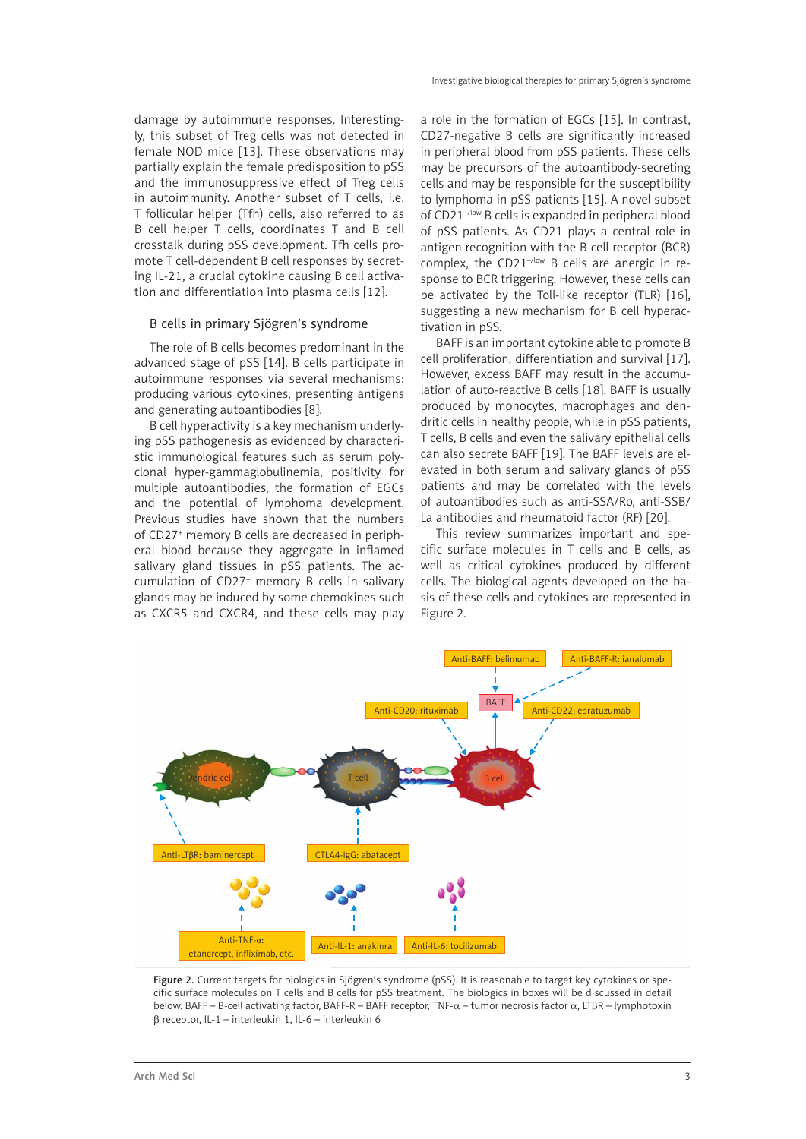damage by autoimmune responses. Interestingly, this subset of Treg cells was not detected in female NOD mice [13]. These observations may partially explain the female predisposition to pSS and the immunosuppressive effect of Treg cells in autoimmunity. Another subset of T cells, i.e. T follicular helper (Tfh) cells, also referred to as B cell helper T cells, coordinates T and B cell crosstalk during pSS development. Tfh cells promote T cell-dependent B cell responses by secreting IL-21, a crucial cytokine causing B cell activation and differentiation into plasma cells [12].

## B cells in primary Sjögren's syndrome

The role of B cells becomes predominant in the advanced stage of pSS [14]. B cells participate in autoimmune responses via several mechanisms: producing various cytokines, presenting antigens and generating autoantibodies [8].

B cell hyperactivity is a key mechanism underlying pSS pathogenesis as evidenced by characteristic immunological features such as serum polyclonal hyper-gammaglobulinemia, positivity for multiple autoantibodies, the formation of EGCs and the potential of lymphoma development. Previous studies have shown that the numbers of CD27+ memory B cells are decreased in peripheral blood because they aggregate in inflamed salivary gland tissues in pSS patients. The accumulation of CD27+ memory B cells in salivary glands may be induced by some chemokines such as CXCR5 and CXCR4, and these cells may play

a role in the formation of EGCs [15]. In contrast, CD27-negative B cells are significantly increased in peripheral blood from pSS patients. These cells may be precursors of the autoantibody-secreting cells and may be responsible for the susceptibility to lymphoma in pSS patients [15]. A novel subset of CD21<sup>-/low</sup> B cells is expanded in peripheral blood of pSS patients. As CD21 plays a central role in antigen recognition with the B cell receptor (BCR) complex, the  $CD21^{-/low}$  B cells are anergic in response to BCR triggering. However, these cells can be activated by the Toll-like receptor (TLR) [16], suggesting a new mechanism for B cell hyperactivation in pSS.

BAFF is an important cytokine able to promote B cell proliferation, differentiation and survival [17]. However, excess BAFF may result in the accumulation of auto-reactive B cells [18]. BAFF is usually produced by monocytes, macrophages and dendritic cells in healthy people, while in pSS patients, T cells, B cells and even the salivary epithelial cells can also secrete BAFF [19]. The BAFF levels are elevated in both serum and salivary glands of pSS patients and may be correlated with the levels of autoantibodies such as anti-SSA/Ro, anti-SSB/ La antibodies and rheumatoid factor (RF) [20].

This review summarizes important and specific surface molecules in T cells and B cells, as well as critical cytokines produced by different cells. The biological agents developed on the basis of these cells and cytokines are represented in Figure 2.



Figure 2. Current targets for biologics in Sjögren's syndrome (pSS). It is reasonable to target key cytokines or specific surface molecules on T cells and B cells for pSS treatment. The biologics in boxes will be discussed in detail below. BAFF – B-cell activating factor, BAFF-R – BAFF receptor, TNF-α – tumor necrosis factor α, LTβR – lymphotoxin β receptor, IL-1 – interleukin 1, IL-6 – interleukin 6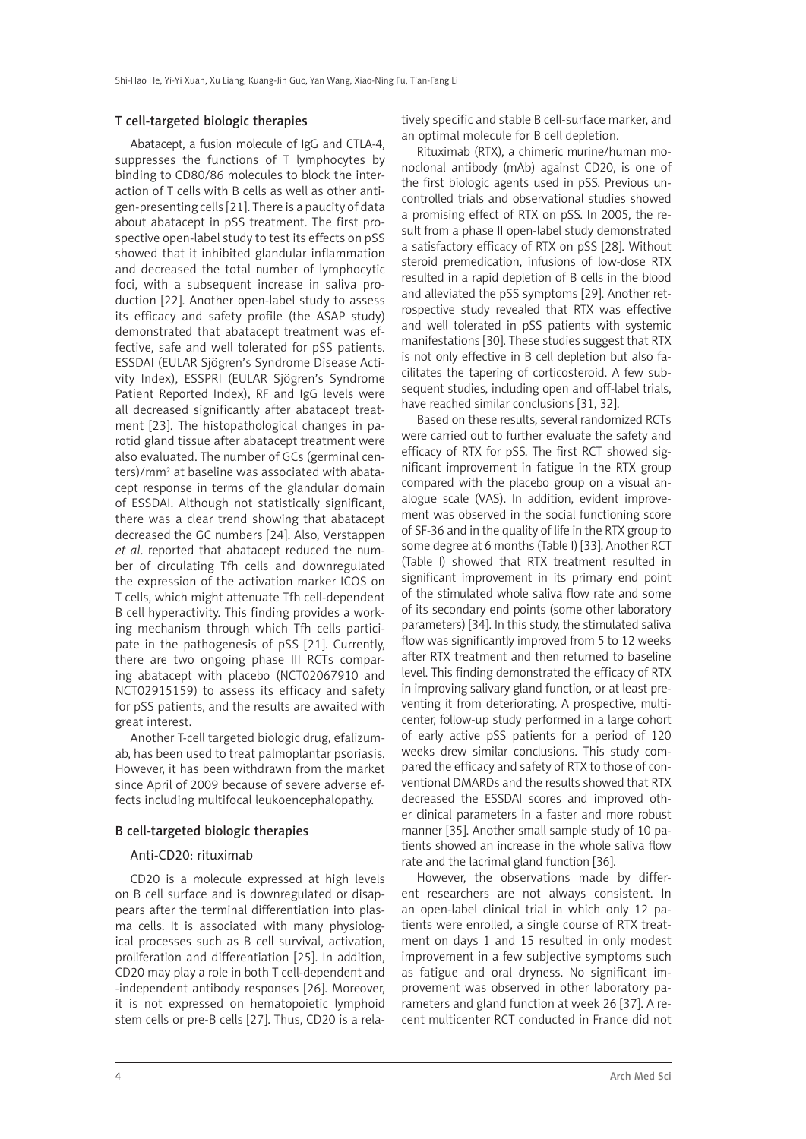#### T cell-targeted biologic therapies

Abatacept, a fusion molecule of IgG and CTLA-4, suppresses the functions of T lymphocytes by binding to CD80/86 molecules to block the interaction of T cells with B cells as well as other antigen-presenting cells [21]. There is a paucity of data about abatacept in pSS treatment. The first prospective open-label study to test its effects on pSS showed that it inhibited glandular inflammation and decreased the total number of lymphocytic foci, with a subsequent increase in saliva production [22]. Another open-label study to assess its efficacy and safety profile (the ASAP study) demonstrated that abatacept treatment was effective, safe and well tolerated for pSS patients. ESSDAI (EULAR Sjögren's Syndrome Disease Activity Index), ESSPRI (EULAR Sjögren's Syndrome Patient Reported Index), RF and IgG levels were all decreased significantly after abatacept treatment [23]. The histopathological changes in parotid gland tissue after abatacept treatment were also evaluated. The number of GCs (germinal centers)/mm2 at baseline was associated with abatacept response in terms of the glandular domain of ESSDAI. Although not statistically significant, there was a clear trend showing that abatacept decreased the GC numbers [24]. Also, Verstappen *et al*. reported that abatacept reduced the number of circulating Tfh cells and downregulated the expression of the activation marker ICOS on T cells, which might attenuate Tfh cell-dependent B cell hyperactivity. This finding provides a working mechanism through which Tfh cells participate in the pathogenesis of pSS [21]. Currently, there are two ongoing phase III RCTs comparing abatacept with placebo (NCT02067910 and NCT02915159) to assess its efficacy and safety for pSS patients, and the results are awaited with great interest.

Another T-cell targeted biologic drug, efalizumab, has been used to treat palmoplantar psoriasis. However, it has been withdrawn from the market since April of 2009 because of severe adverse effects including multifocal leukoencephalopathy.

#### B cell-targeted biologic therapies

#### Anti-CD20: rituximab

CD20 is a molecule expressed at high levels on B cell surface and is downregulated or disappears after the terminal differentiation into plasma cells. It is associated with many physiological processes such as B cell survival, activation, proliferation and differentiation [25]. In addition, CD20 may play a role in both T cell-dependent and -independent antibody responses [26]. Moreover, it is not expressed on hematopoietic lymphoid stem cells or pre-B cells [27]. Thus, CD20 is a relatively specific and stable B cell-surface marker, and an optimal molecule for B cell depletion.

Rituximab (RTX), a chimeric murine/human monoclonal antibody (mAb) against CD20, is one of the first biologic agents used in pSS. Previous uncontrolled trials and observational studies showed a promising effect of RTX on pSS. In 2005, the result from a phase II open-label study demonstrated a satisfactory efficacy of RTX on pSS [28]. Without steroid premedication, infusions of low-dose RTX resulted in a rapid depletion of B cells in the blood and alleviated the pSS symptoms [29]. Another retrospective study revealed that RTX was effective and well tolerated in pSS patients with systemic manifestations [30]. These studies suggest that RTX is not only effective in B cell depletion but also facilitates the tapering of corticosteroid. A few subsequent studies, including open and off-label trials, have reached similar conclusions [31, 32].

Based on these results, several randomized RCTs were carried out to further evaluate the safety and efficacy of RTX for pSS. The first RCT showed significant improvement in fatigue in the RTX group compared with the placebo group on a visual analogue scale (VAS). In addition, evident improvement was observed in the social functioning score of SF-36 and in the quality of life in the RTX group to some degree at 6 months (Table I) [33]. Another RCT (Table I) showed that RTX treatment resulted in significant improvement in its primary end point of the stimulated whole saliva flow rate and some of its secondary end points (some other laboratory parameters) [34]. In this study, the stimulated saliva flow was significantly improved from 5 to 12 weeks after RTX treatment and then returned to baseline level. This finding demonstrated the efficacy of RTX in improving salivary gland function, or at least preventing it from deteriorating. A prospective, multicenter, follow-up study performed in a large cohort of early active pSS patients for a period of 120 weeks drew similar conclusions. This study compared the efficacy and safety of RTX to those of conventional DMARDs and the results showed that RTX decreased the ESSDAI scores and improved other clinical parameters in a faster and more robust manner [35]. Another small sample study of 10 patients showed an increase in the whole saliva flow rate and the lacrimal gland function [36].

However, the observations made by different researchers are not always consistent. In an open-label clinical trial in which only 12 patients were enrolled, a single course of RTX treatment on days 1 and 15 resulted in only modest improvement in a few subjective symptoms such as fatigue and oral dryness. No significant improvement was observed in other laboratory parameters and gland function at week 26 [37]. A recent multicenter RCT conducted in France did not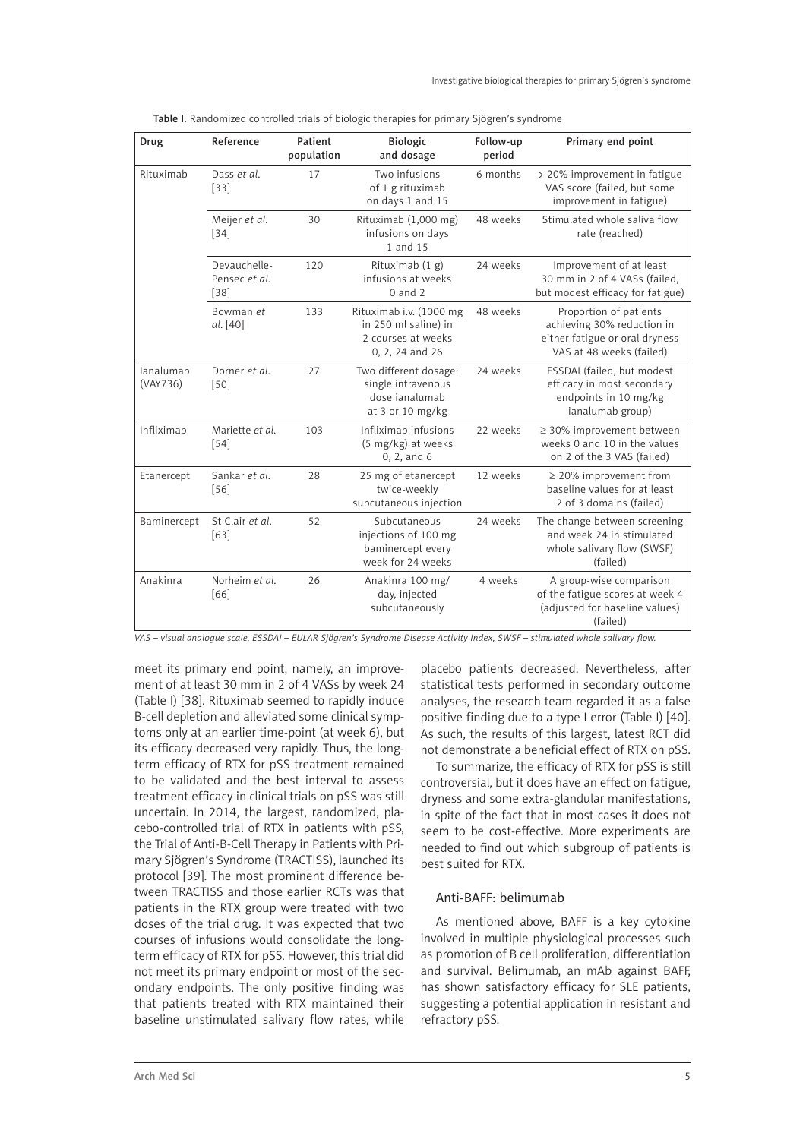| Drug                  | Reference                               | Patient<br>population | <b>Biologic</b><br>and dosage                                                            | Follow-up<br>period | Primary end point                                                                                                  |
|-----------------------|-----------------------------------------|-----------------------|------------------------------------------------------------------------------------------|---------------------|--------------------------------------------------------------------------------------------------------------------|
| Rituximab             | Dass et al.<br>$[33]$                   | 17                    | Two infusions<br>of 1 g rituximab<br>on days 1 and 15                                    | 6 months            | > 20% improvement in fatigue<br>VAS score (failed, but some<br>improvement in fatigue)                             |
|                       | Meijer et al.<br>$[34]$                 | 30                    | Rituximab (1,000 mg)<br>infusions on days<br>1 and 15                                    | 48 weeks            | Stimulated whole saliva flow<br>rate (reached)                                                                     |
|                       | Devauchelle-<br>Pensec et al.<br>$[38]$ | 120                   | Rituximab $(1 g)$<br>infusions at weeks<br>$0$ and $2$                                   | 24 weeks            | Improvement of at least<br>30 mm in 2 of 4 VASs (failed,<br>but modest efficacy for fatigue)                       |
|                       | Bowman et<br>al. [40]                   | 133                   | Rituximab i.v. (1000 mg<br>in 250 ml saline) in<br>2 courses at weeks<br>0, 2, 24 and 26 | 48 weeks            | Proportion of patients<br>achieving 30% reduction in<br>either fatigue or oral dryness<br>VAS at 48 weeks (failed) |
| lanalumab<br>(VAY736) | Dorner et al.<br>$[50]$                 | 27                    | Two different dosage:<br>single intravenous<br>dose janalumab<br>at 3 or 10 mg/kg        | 24 weeks            | ESSDAI (failed, but modest<br>efficacy in most secondary<br>endpoints in 10 mg/kg<br>ianalumab group)              |
| Infliximab            | Mariette et al.<br>$[54]$               | 103                   | Infliximab infusions<br>(5 mg/kg) at weeks<br>0, 2, and 6                                | 22 weeks            | $\geq$ 30% improvement between<br>weeks 0 and 10 in the values<br>on 2 of the 3 VAS (failed)                       |
| Etanercept            | Sankar et al.<br>$[56]$                 | 28                    | 25 mg of etanercept<br>twice-weekly<br>subcutaneous injection                            | 12 weeks            | $\geq$ 20% improvement from<br>baseline values for at least<br>2 of 3 domains (failed)                             |
| Baminercept           | St Clair et al.<br>[63]                 | 52                    | Subcutaneous<br>injections of 100 mg<br>baminercept every<br>week for 24 weeks           | 24 weeks            | The change between screening<br>and week 24 in stimulated<br>whole salivary flow (SWSF)<br>(failed)                |
| Anakinra              | Norheim et al.<br>[66]                  | 26                    | Anakinra 100 mg/<br>day, injected<br>subcutaneously                                      | 4 weeks             | A group-wise comparison<br>of the fatigue scores at week 4<br>(adjusted for baseline values)<br>(failed)           |

|  |  | Table I. Randomized controlled trials of biologic therapies for primary Sjögren's syndrome |
|--|--|--------------------------------------------------------------------------------------------|
|--|--|--------------------------------------------------------------------------------------------|

*VAS – visual analogue scale, ESSDAI – EULAR Sjögren's Syndrome Disease Activity Index, SWSF – stimulated whole salivary flow.*

meet its primary end point, namely, an improvement of at least 30 mm in 2 of 4 VASs by week 24 (Table I) [38]. Rituximab seemed to rapidly induce B-cell depletion and alleviated some clinical symptoms only at an earlier time-point (at week 6), but its efficacy decreased very rapidly. Thus, the longterm efficacy of RTX for pSS treatment remained to be validated and the best interval to assess treatment efficacy in clinical trials on pSS was still uncertain. In 2014, the largest, randomized, placebo-controlled trial of RTX in patients with pSS, the Trial of Anti-B-Cell Therapy in Patients with Primary Sjögren's Syndrome (TRACTISS), launched its protocol [39]. The most prominent difference between TRACTISS and those earlier RCTs was that patients in the RTX group were treated with two doses of the trial drug. It was expected that two courses of infusions would consolidate the longterm efficacy of RTX for pSS. However, this trial did not meet its primary endpoint or most of the secondary endpoints. The only positive finding was that patients treated with RTX maintained their baseline unstimulated salivary flow rates, while

placebo patients decreased. Nevertheless, after statistical tests performed in secondary outcome analyses, the research team regarded it as a false positive finding due to a type I error (Table I) [40]. As such, the results of this largest, latest RCT did not demonstrate a beneficial effect of RTX on pSS.

To summarize, the efficacy of RTX for pSS is still controversial, but it does have an effect on fatigue, dryness and some extra-glandular manifestations, in spite of the fact that in most cases it does not seem to be cost-effective. More experiments are needed to find out which subgroup of patients is best suited for RTX.

## Anti-BAFF: belimumab

As mentioned above, BAFF is a key cytokine involved in multiple physiological processes such as promotion of B cell proliferation, differentiation and survival. Belimumab, an mAb against BAFF, has shown satisfactory efficacy for SLE patients, suggesting a potential application in resistant and refractory pSS.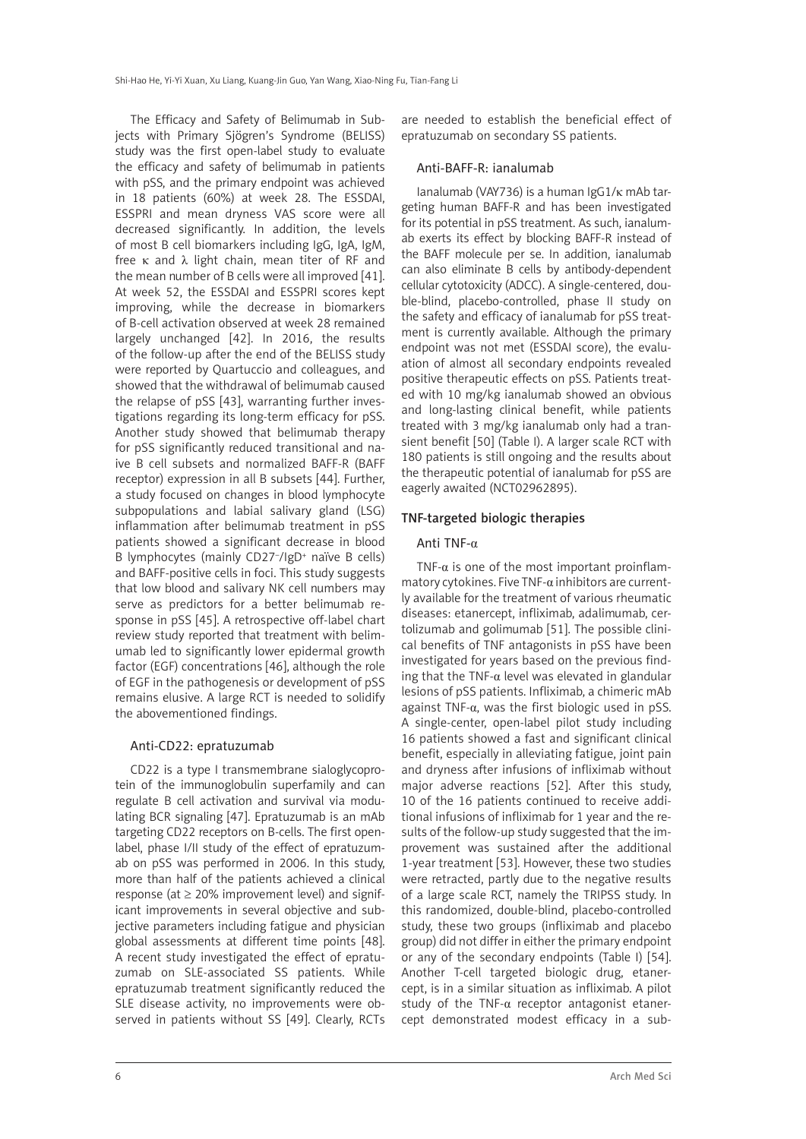The Efficacy and Safety of Belimumab in Subjects with Primary Sjögren's Syndrome (BELISS) study was the first open-label study to evaluate the efficacy and safety of belimumab in patients with pSS, and the primary endpoint was achieved in 18 patients (60%) at week 28. The ESSDAI, ESSPRI and mean dryness VAS score were all decreased significantly. In addition, the levels of most B cell biomarkers including IgG, IgA, IgM, free κ and  $λ$  light chain, mean titer of RF and the mean number of B cells were all improved [41]. At week 52, the ESSDAI and ESSPRI scores kept improving, while the decrease in biomarkers of B-cell activation observed at week 28 remained largely unchanged [42]. In 2016, the results of the follow-up after the end of the BELISS study were reported by Quartuccio and colleagues, and showed that the withdrawal of belimumab caused the relapse of pSS [43], warranting further investigations regarding its long-term efficacy for pSS. Another study showed that belimumab therapy for pSS significantly reduced transitional and naive B cell subsets and normalized BAFF-R (BAFF receptor) expression in all B subsets [44]. Further, a study focused on changes in blood lymphocyte subpopulations and labial salivary gland (LSG) inflammation after belimumab treatment in pSS patients showed a significant decrease in blood B lymphocytes (mainly CD27<sup>-</sup>/IgD<sup>+</sup> naïve B cells) and BAFF-positive cells in foci. This study suggests that low blood and salivary NK cell numbers may serve as predictors for a better belimumab response in pSS [45]. A retrospective off-label chart review study reported that treatment with belimumab led to significantly lower epidermal growth factor (EGF) concentrations [46], although the role of EGF in the pathogenesis or development of pSS remains elusive. A large RCT is needed to solidify the abovementioned findings.

## Anti-CD22: epratuzumab

CD22 is a type I transmembrane sialoglycoprotein of the immunoglobulin superfamily and can regulate B cell activation and survival via modulating BCR signaling [47]. Epratuzumab is an mAb targeting CD22 receptors on B-cells. The first openlabel, phase I/II study of the effect of epratuzumab on pSS was performed in 2006. In this study, more than half of the patients achieved a clinical response (at  $\geq$  20% improvement level) and significant improvements in several objective and subjective parameters including fatigue and physician global assessments at different time points [48]. A recent study investigated the effect of epratuzumab on SLE-associated SS patients. While epratuzumab treatment significantly reduced the SLE disease activity, no improvements were observed in patients without SS [49]. Clearly, RCTs

are needed to establish the beneficial effect of epratuzumab on secondary SS patients.

#### Anti-BAFF-R: ianalumab

Ianalumab (VAY736) is a human IgG1/κ mAb targeting human BAFF-R and has been investigated for its potential in pSS treatment. As such, ianalumab exerts its effect by blocking BAFF-R instead of the BAFF molecule per se. In addition, ianalumab can also eliminate B cells by antibody-dependent cellular cytotoxicity (ADCC). A single-centered, double-blind, placebo-controlled, phase II study on the safety and efficacy of ianalumab for pSS treatment is currently available. Although the primary endpoint was not met (ESSDAI score), the evaluation of almost all secondary endpoints revealed positive therapeutic effects on pSS. Patients treated with 10 mg/kg ianalumab showed an obvious and long-lasting clinical benefit, while patients treated with 3 mg/kg ianalumab only had a transient benefit [50] (Table I). A larger scale RCT with 180 patients is still ongoing and the results about the therapeutic potential of ianalumab for pSS are eagerly awaited (NCT02962895).

## TNF-targeted biologic therapies

## Anti TNF-α

TNF- $\alpha$  is one of the most important proinflammatory cytokines. Five TNF-α inhibitors are currently available for the treatment of various rheumatic diseases: etanercept, infliximab, adalimumab, certolizumab and golimumab [51]. The possible clinical benefits of TNF antagonists in pSS have been investigated for years based on the previous finding that the TNF- $\alpha$  level was elevated in glandular lesions of pSS patients. Infliximab, a chimeric mAb against TNF-α, was the first biologic used in pSS. A single-center, open-label pilot study including 16 patients showed a fast and significant clinical benefit, especially in alleviating fatigue, joint pain and dryness after infusions of infliximab without major adverse reactions [52]. After this study, 10 of the 16 patients continued to receive additional infusions of infliximab for 1 year and the results of the follow-up study suggested that the improvement was sustained after the additional 1-year treatment [53]. However, these two studies were retracted, partly due to the negative results of a large scale RCT, namely the TRIPSS study. In this randomized, double-blind, placebo-controlled study, these two groups (infliximab and placebo group) did not differ in either the primary endpoint or any of the secondary endpoints (Table I) [54]. Another T-cell targeted biologic drug, etanercept, is in a similar situation as infliximab. A pilot study of the TNF-α receptor antagonist etanercept demonstrated modest efficacy in a sub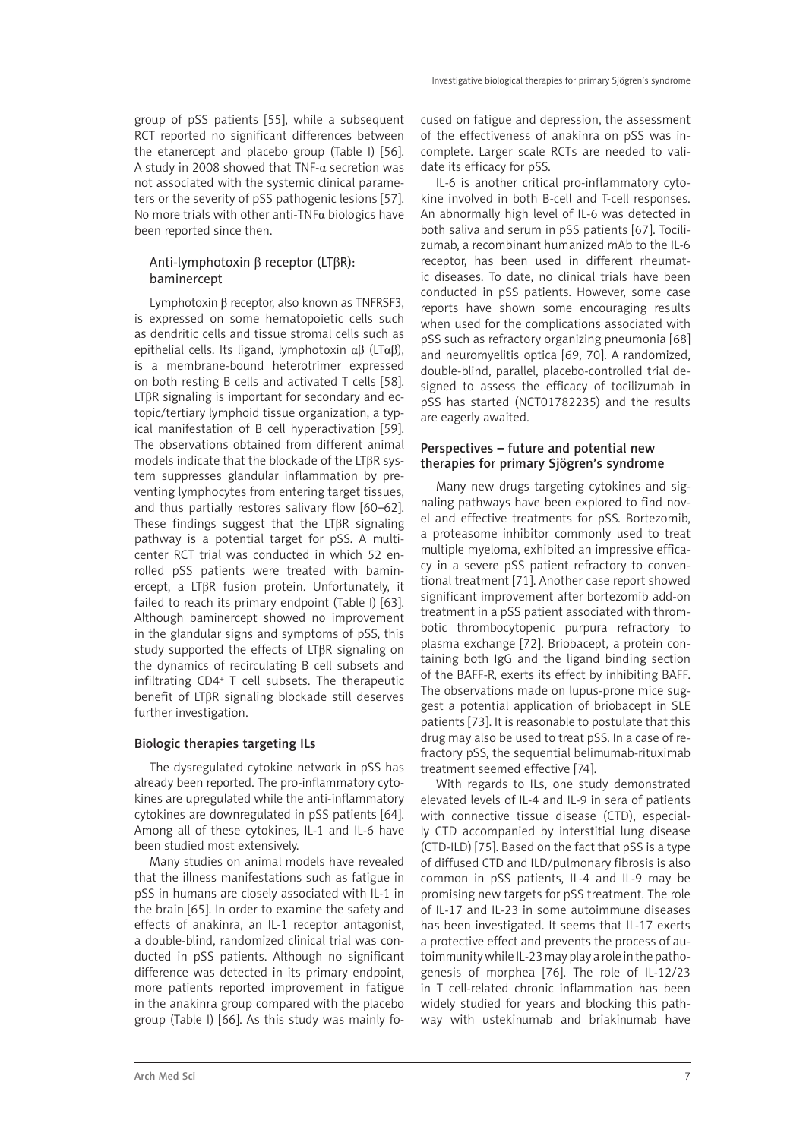group of pSS patients [55], while a subsequent RCT reported no significant differences between the etanercept and placebo group (Table I) [56]. A study in 2008 showed that TNF- $\alpha$  secretion was not associated with the systemic clinical parameters or the severity of pSS pathogenic lesions [57]. No more trials with other anti-TNFα biologics have been reported since then.

## Anti-lymphotoxin β receptor (LTβR): baminercept

Lymphotoxin β receptor, also known as TNFRSF3, is expressed on some hematopoietic cells such as dendritic cells and tissue stromal cells such as epithelial cells. Its ligand, lymphotoxin αβ (LTαβ), is a membrane-bound heterotrimer expressed on both resting B cells and activated T cells [58]. LTβR signaling is important for secondary and ectopic/tertiary lymphoid tissue organization, a typical manifestation of B cell hyperactivation [59]. The observations obtained from different animal models indicate that the blockade of the LTβR system suppresses glandular inflammation by preventing lymphocytes from entering target tissues, and thus partially restores salivary flow [60–62]. These findings suggest that the LTβR signaling pathway is a potential target for pSS. A multicenter RCT trial was conducted in which 52 enrolled pSS patients were treated with baminercept, a LTβR fusion protein. Unfortunately, it failed to reach its primary endpoint (Table I) [63]. Although baminercept showed no improvement in the glandular signs and symptoms of pSS, this study supported the effects of LTβR signaling on the dynamics of recirculating B cell subsets and infiltrating CD4+ T cell subsets. The therapeutic benefit of LTβR signaling blockade still deserves further investigation.

## Biologic therapies targeting ILs

The dysregulated cytokine network in pSS has already been reported. The pro-inflammatory cytokines are upregulated while the anti-inflammatory cytokines are downregulated in pSS patients [64]. Among all of these cytokines, IL-1 and IL-6 have been studied most extensively.

Many studies on animal models have revealed that the illness manifestations such as fatigue in pSS in humans are closely associated with IL-1 in the brain [65]. In order to examine the safety and effects of anakinra, an IL-1 receptor antagonist, a double-blind, randomized clinical trial was conducted in pSS patients. Although no significant difference was detected in its primary endpoint, more patients reported improvement in fatigue in the anakinra group compared with the placebo group (Table I) [66]. As this study was mainly focused on fatigue and depression, the assessment of the effectiveness of anakinra on pSS was incomplete. Larger scale RCTs are needed to validate its efficacy for pSS.

IL-6 is another critical pro-inflammatory cytokine involved in both B-cell and T-cell responses. An abnormally high level of IL-6 was detected in both saliva and serum in pSS patients [67]. Tocilizumab, a recombinant humanized mAb to the IL-6 receptor, has been used in different rheumatic diseases. To date, no clinical trials have been conducted in pSS patients. However, some case reports have shown some encouraging results when used for the complications associated with pSS such as refractory organizing pneumonia [68] and neuromyelitis optica [69, 70]. A randomized, double-blind, parallel, placebo-controlled trial designed to assess the efficacy of tocilizumab in pSS has started (NCT01782235) and the results are eagerly awaited.

## Perspectives – future and potential new therapies for primary Sjögren's syndrome

Many new drugs targeting cytokines and signaling pathways have been explored to find novel and effective treatments for pSS. Bortezomib, a proteasome inhibitor commonly used to treat multiple myeloma, exhibited an impressive efficacy in a severe pSS patient refractory to conventional treatment [71]. Another case report showed significant improvement after bortezomib add-on treatment in a pSS patient associated with thrombotic thrombocytopenic purpura refractory to plasma exchange [72]. Briobacept, a protein containing both IgG and the ligand binding section of the BAFF-R, exerts its effect by inhibiting BAFF. The observations made on lupus-prone mice suggest a potential application of briobacept in SLE patients [73]. It is reasonable to postulate that this drug may also be used to treat pSS. In a case of refractory pSS, the sequential belimumab-rituximab treatment seemed effective [74].

With regards to ILs, one study demonstrated elevated levels of IL-4 and IL-9 in sera of patients with connective tissue disease (CTD), especially CTD accompanied by interstitial lung disease (CTD-ILD) [75]. Based on the fact that pSS is a type of diffused CTD and ILD/pulmonary fibrosis is also common in pSS patients, IL-4 and IL-9 may be promising new targets for pSS treatment. The role of IL-17 and IL-23 in some autoimmune diseases has been investigated. It seems that IL-17 exerts a protective effect and prevents the process of autoimmunity while IL-23 may play a role in the pathogenesis of morphea [76]. The role of IL-12/23 in T cell-related chronic inflammation has been widely studied for years and blocking this pathway with ustekinumab and briakinumab have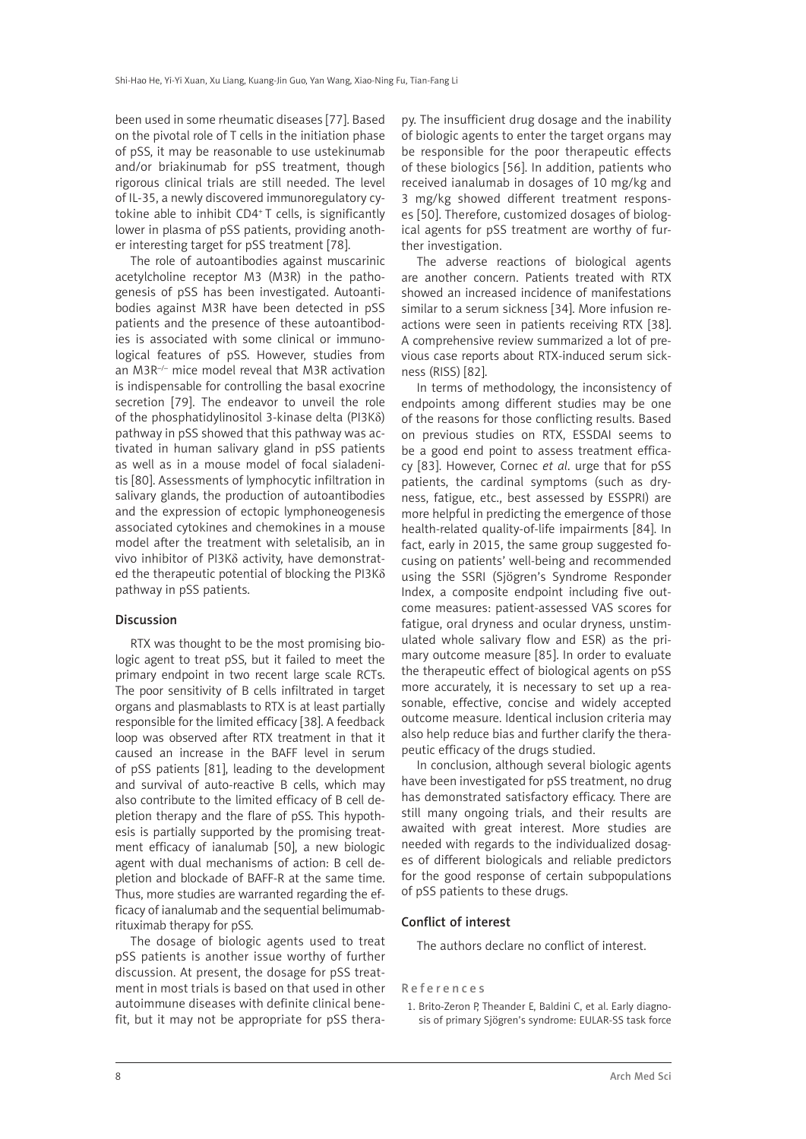been used in some rheumatic diseases [77]. Based on the pivotal role of T cells in the initiation phase of pSS, it may be reasonable to use ustekinumab and/or briakinumab for pSS treatment, though rigorous clinical trials are still needed. The level of IL-35, a newly discovered immunoregulatory cytokine able to inhibit CD4+ T cells, is significantly lower in plasma of pSS patients, providing another interesting target for pSS treatment [78].

The role of autoantibodies against muscarinic acetylcholine receptor M3 (M3R) in the pathogenesis of pSS has been investigated. Autoantibodies against M3R have been detected in pSS patients and the presence of these autoantibodies is associated with some clinical or immunological features of pSS. However, studies from an M3R–/– mice model reveal that M3R activation is indispensable for controlling the basal exocrine secretion [79]. The endeavor to unveil the role of the phosphatidylinositol 3-kinase delta (PI3Kδ) pathway in pSS showed that this pathway was activated in human salivary gland in pSS patients as well as in a mouse model of focal sialadenitis [80]. Assessments of lymphocytic infiltration in salivary glands, the production of autoantibodies and the expression of ectopic lymphoneogenesis associated cytokines and chemokines in a mouse model after the treatment with seletalisib, an in vivo inhibitor of PI3Kδ activity, have demonstrated the therapeutic potential of blocking the PI3Kδ pathway in pSS patients.

## Discussion

RTX was thought to be the most promising biologic agent to treat pSS, but it failed to meet the primary endpoint in two recent large scale RCTs. The poor sensitivity of B cells infiltrated in target organs and plasmablasts to RTX is at least partially responsible for the limited efficacy [38]. A feedback loop was observed after RTX treatment in that it caused an increase in the BAFF level in serum of pSS patients [81], leading to the development and survival of auto-reactive B cells, which may also contribute to the limited efficacy of B cell depletion therapy and the flare of pSS. This hypothesis is partially supported by the promising treatment efficacy of ianalumab [50], a new biologic agent with dual mechanisms of action: B cell depletion and blockade of BAFF-R at the same time. Thus, more studies are warranted regarding the efficacy of ianalumab and the sequential belimumabrituximab therapy for pSS.

The dosage of biologic agents used to treat pSS patients is another issue worthy of further discussion. At present, the dosage for pSS treatment in most trials is based on that used in other autoimmune diseases with definite clinical benefit, but it may not be appropriate for pSS therapy. The insufficient drug dosage and the inability of biologic agents to enter the target organs may be responsible for the poor therapeutic effects of these biologics [56]. In addition, patients who received ianalumab in dosages of 10 mg/kg and 3 mg/kg showed different treatment responses [50]. Therefore, customized dosages of biological agents for pSS treatment are worthy of further investigation.

The adverse reactions of biological agents are another concern. Patients treated with RTX showed an increased incidence of manifestations similar to a serum sickness [34]. More infusion reactions were seen in patients receiving RTX [38]. A comprehensive review summarized a lot of previous case reports about RTX-induced serum sickness (RISS) [82].

In terms of methodology, the inconsistency of endpoints among different studies may be one of the reasons for those conflicting results. Based on previous studies on RTX, ESSDAI seems to be a good end point to assess treatment efficacy [83]. However, Cornec *et al*. urge that for pSS patients, the cardinal symptoms (such as dryness, fatigue, etc., best assessed by ESSPRI) are more helpful in predicting the emergence of those health-related quality-of-life impairments [84]. In fact, early in 2015, the same group suggested focusing on patients' well-being and recommended using the SSRI (Sjögren's Syndrome Responder Index, a composite endpoint including five outcome measures: patient-assessed VAS scores for fatigue, oral dryness and ocular dryness, unstimulated whole salivary flow and ESR) as the primary outcome measure [85]. In order to evaluate the therapeutic effect of biological agents on pSS more accurately, it is necessary to set up a reasonable, effective, concise and widely accepted outcome measure. Identical inclusion criteria may also help reduce bias and further clarify the therapeutic efficacy of the drugs studied.

In conclusion, although several biologic agents have been investigated for pSS treatment, no drug has demonstrated satisfactory efficacy. There are still many ongoing trials, and their results are awaited with great interest. More studies are needed with regards to the individualized dosages of different biologicals and reliable predictors for the good response of certain subpopulations of pSS patients to these drugs.

## Conflict of interest

The authors declare no conflict of interest.

#### References

1. Brito-Zeron P, Theander E, Baldini C, et al. Early diagnosis of primary Sjögren's syndrome: EULAR-SS task force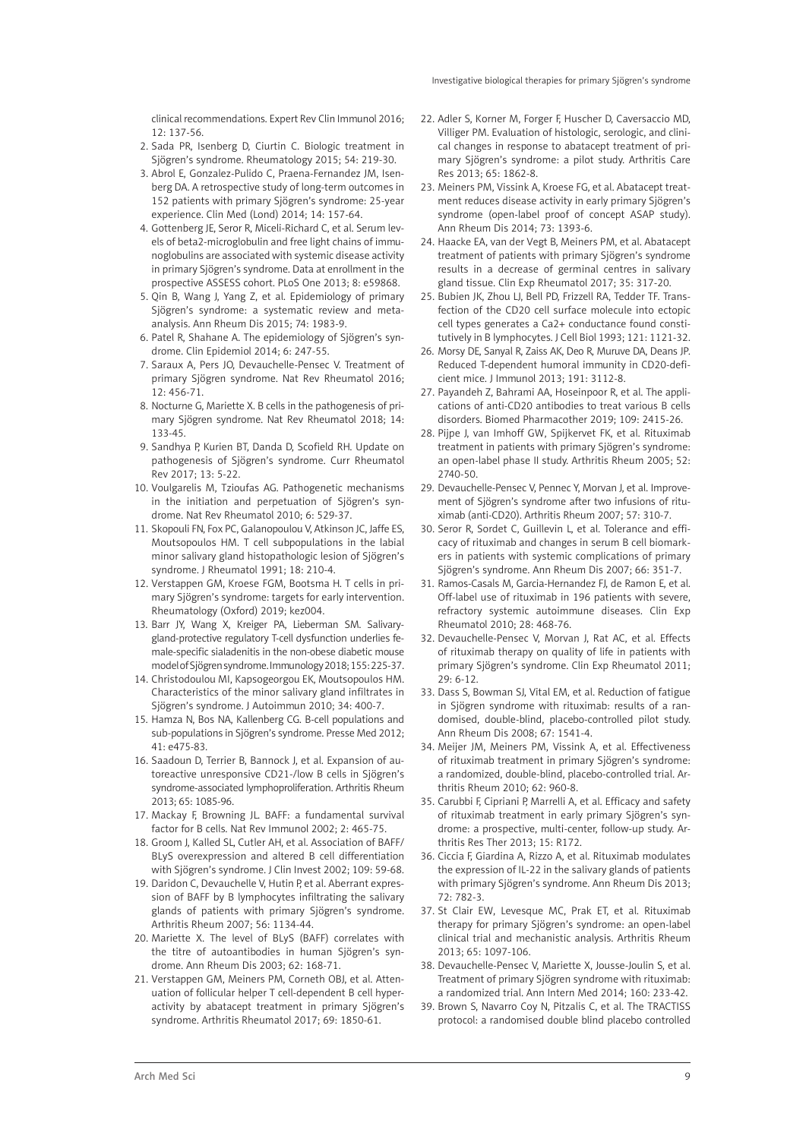clinical recommendations. Expert Rev Clin Immunol 2016; 12: 137-56.

- 2. Sada PR, Isenberg D, Ciurtin C. Biologic treatment in Sjögren's syndrome. Rheumatology 2015; 54: 219-30.
- 3. Abrol E, Gonzalez-Pulido C, Praena-Fernandez JM, Isenberg DA. A retrospective study of long-term outcomes in 152 patients with primary Sjögren's syndrome: 25-year experience. Clin Med (Lond) 2014; 14: 157-64.
- 4. Gottenberg JE, Seror R, Miceli-Richard C, et al. Serum levels of beta2-microglobulin and free light chains of immunoglobulins are associated with systemic disease activity in primary Sjögren's syndrome. Data at enrollment in the prospective ASSESS cohort. PLoS One 2013; 8: e59868.
- 5. Qin B, Wang J, Yang Z, et al. Epidemiology of primary Sjögren's syndrome: a systematic review and metaanalysis. Ann Rheum Dis 2015; 74: 1983-9.
- 6. Patel R, Shahane A. The epidemiology of Sjögren's syndrome. Clin Epidemiol 2014; 6: 247-55.
- 7. Saraux A, Pers JO, Devauchelle-Pensec V. Treatment of primary Sjögren syndrome. Nat Rev Rheumatol 2016; 12: 456-71.
- 8. Nocturne G, Mariette X. B cells in the pathogenesis of primary Sjögren syndrome. Nat Rev Rheumatol 2018; 14: 133-45.
- 9. Sandhya P, Kurien BT, Danda D, Scofield RH. Update on pathogenesis of Sjögren's syndrome. Curr Rheumatol Rev 2017; 13: 5-22.
- 10. Voulgarelis M, Tzioufas AG. Pathogenetic mechanisms in the initiation and perpetuation of Sjögren's syndrome. Nat Rev Rheumatol 2010; 6: 529-37.
- 11. Skopouli FN, Fox PC, Galanopoulou V, Atkinson JC, Jaffe ES, Moutsopoulos HM. T cell subpopulations in the labial minor salivary gland histopathologic lesion of Sjögren's syndrome. J Rheumatol 1991; 18: 210-4.
- 12. Verstappen GM, Kroese FGM, Bootsma H. T cells in primary Sjögren's syndrome: targets for early intervention. Rheumatology (Oxford) 2019; kez004.
- 13. Barr JY, Wang X, Kreiger PA, Lieberman SM. Salivarygland-protective regulatory T-cell dysfunction underlies female-specific sialadenitis in the non-obese diabetic mouse model of Sjögren syndrome. Immunology 2018; 155: 225-37.
- 14. Christodoulou MI, Kapsogeorgou EK, Moutsopoulos HM. Characteristics of the minor salivary gland infiltrates in Sjögren's syndrome. J Autoimmun 2010; 34: 400-7.
- 15. Hamza N, Bos NA, Kallenberg CG. B-cell populations and sub-populations in Sjögren's syndrome. Presse Med 2012; 41: e475-83.
- 16. Saadoun D, Terrier B, Bannock J, et al. Expansion of autoreactive unresponsive CD21-/low B cells in Sjögren's syndrome-associated lymphoproliferation. Arthritis Rheum 2013; 65: 1085-96.
- 17. Mackay F, Browning JL. BAFF: a fundamental survival factor for B cells. Nat Rev Immunol 2002; 2: 465-75.
- 18. Groom J, Kalled SL, Cutler AH, et al. Association of BAFF/ BLyS overexpression and altered B cell differentiation with Sjögren's syndrome. J Clin Invest 2002; 109: 59-68.
- 19. Daridon C, Devauchelle V, Hutin P, et al. Aberrant expression of BAFF by B lymphocytes infiltrating the salivary glands of patients with primary Sjögren's syndrome. Arthritis Rheum 2007; 56: 1134-44.
- 20. Mariette X. The level of BLyS (BAFF) correlates with the titre of autoantibodies in human Sjögren's syndrome. Ann Rheum Dis 2003; 62: 168-71.
- 21. Verstappen GM, Meiners PM, Corneth OBJ, et al. Attenuation of follicular helper T cell-dependent B cell hyperactivity by abatacept treatment in primary Sjögren's syndrome. Arthritis Rheumatol 2017; 69: 1850-61.
- 22. Adler S, Korner M, Forger F, Huscher D, Caversaccio MD, Villiger PM. Evaluation of histologic, serologic, and clinical changes in response to abatacept treatment of primary Sjögren's syndrome: a pilot study. Arthritis Care Res 2013; 65: 1862-8.
- 23. Meiners PM, Vissink A, Kroese FG, et al. Abatacept treatment reduces disease activity in early primary Sjögren's syndrome (open-label proof of concept ASAP study). Ann Rheum Dis 2014; 73: 1393-6.
- 24. Haacke EA, van der Vegt B, Meiners PM, et al. Abatacept treatment of patients with primary Sjögren's syndrome results in a decrease of germinal centres in salivary gland tissue. Clin Exp Rheumatol 2017; 35: 317-20.
- 25. Bubien JK, Zhou LJ, Bell PD, Frizzell RA, Tedder TF. Transfection of the CD20 cell surface molecule into ectopic cell types generates a Ca2+ conductance found constitutively in B lymphocytes. J Cell Biol 1993; 121: 1121-32.
- 26. Morsy DE, Sanyal R, Zaiss AK, Deo R, Muruve DA, Deans JP. Reduced T-dependent humoral immunity in CD20-deficient mice. J Immunol 2013; 191: 3112-8.
- 27. Payandeh Z, Bahrami AA, Hoseinpoor R, et al. The applications of anti-CD20 antibodies to treat various B cells disorders. Biomed Pharmacother 2019; 109: 2415-26.
- 28. Pijpe J, van Imhoff GW, Spijkervet FK, et al. Rituximab treatment in patients with primary Sjögren's syndrome: an open-label phase II study. Arthritis Rheum 2005; 52: 2740-50.
- 29. Devauchelle-Pensec V, Pennec Y, Morvan J, et al. Improvement of Sjögren's syndrome after two infusions of rituximab (anti-CD20). Arthritis Rheum 2007; 57: 310-7.
- 30. Seror R, Sordet C, Guillevin L, et al. Tolerance and efficacy of rituximab and changes in serum B cell biomarkers in patients with systemic complications of primary Sjögren's syndrome. Ann Rheum Dis 2007; 66: 351-7.
- 31. Ramos-Casals M, Garcia-Hernandez FJ, de Ramon E, et al. Off-label use of rituximab in 196 patients with severe, refractory systemic autoimmune diseases. Clin Exp Rheumatol 2010; 28: 468-76.
- 32. Devauchelle-Pensec V, Morvan J, Rat AC, et al. Effects of rituximab therapy on quality of life in patients with primary Sjögren's syndrome. Clin Exp Rheumatol 2011; 29: 6-12.
- 33. Dass S, Bowman SJ, Vital EM, et al. Reduction of fatigue in Sjögren syndrome with rituximab: results of a randomised, double-blind, placebo-controlled pilot study. Ann Rheum Dis 2008; 67: 1541-4.
- 34. Meijer JM, Meiners PM, Vissink A, et al. Effectiveness of rituximab treatment in primary Sjögren's syndrome: a randomized, double-blind, placebo-controlled trial. Arthritis Rheum 2010; 62: 960-8.
- 35. Carubbi F, Cipriani P, Marrelli A, et al. Efficacy and safety of rituximab treatment in early primary Sjögren's syndrome: a prospective, multi-center, follow-up study. Arthritis Res Ther 2013; 15: R172.
- 36. Ciccia F, Giardina A, Rizzo A, et al. Rituximab modulates the expression of IL-22 in the salivary glands of patients with primary Sjögren's syndrome. Ann Rheum Dis 2013; 72: 782-3.
- 37. St Clair EW, Levesque MC, Prak ET, et al. Rituximab therapy for primary Sjögren's syndrome: an open-label clinical trial and mechanistic analysis. Arthritis Rheum 2013; 65: 1097-106.
- 38. Devauchelle-Pensec V, Mariette X, Jousse-Joulin S, et al. Treatment of primary Sjögren syndrome with rituximab: a randomized trial. Ann Intern Med 2014; 160: 233-42.
- 39. Brown S, Navarro Coy N, Pitzalis C, et al. The TRACTISS protocol: a randomised double blind placebo controlled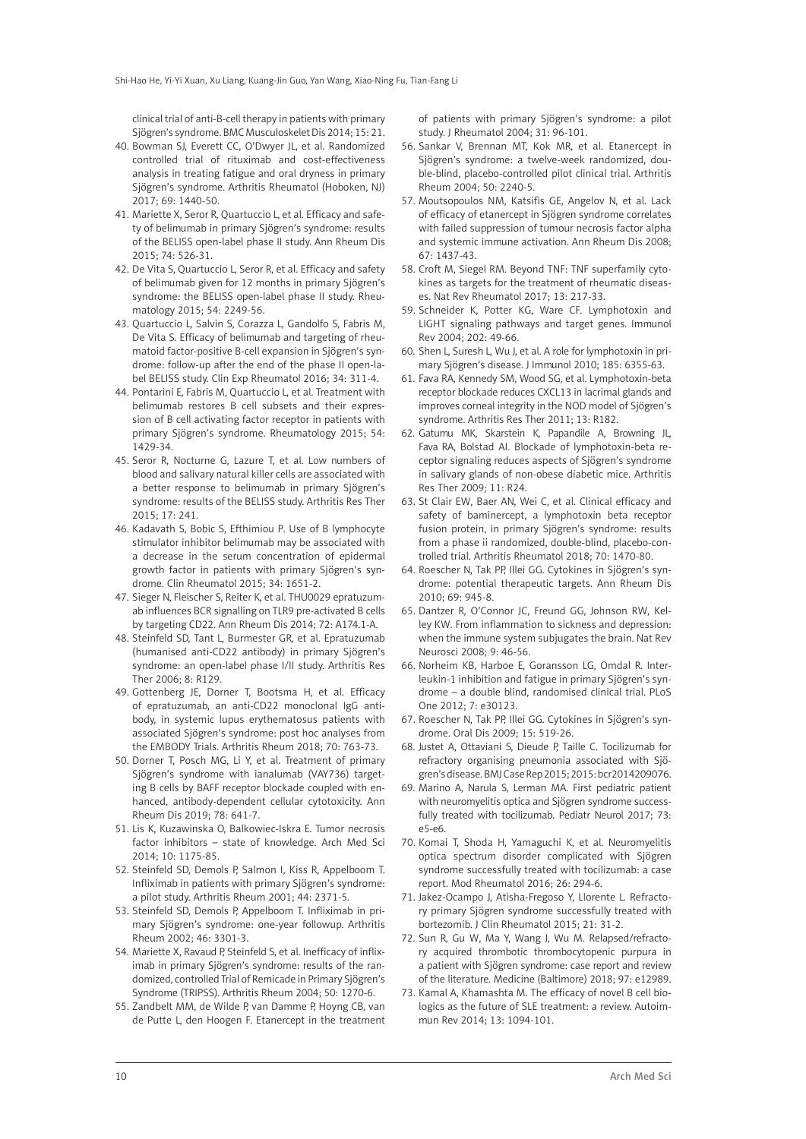clinical trial of anti-B-cell therapy in patients with primary Sjögren's syndrome. BMC Musculoskelet Dis 2014; 15: 21.

- 40. Bowman SJ, Everett CC, O'Dwyer JL, et al. Randomized controlled trial of rituximab and cost-effectiveness analysis in treating fatigue and oral dryness in primary Sjögren's syndrome. Arthritis Rheumatol (Hoboken, NJ) 2017; 69: 1440-50.
- 41. Mariette X, Seror R, Quartuccio L, et al. Efficacy and safety of belimumab in primary Sjögren's syndrome: results of the BELISS open-label phase II study. Ann Rheum Dis 2015; 74: 526-31.
- 42. De Vita S, Quartuccio L, Seror R, et al. Efficacy and safety of belimumab given for 12 months in primary Sjögren's syndrome: the BELISS open-label phase II study. Rheumatology 2015; 54: 2249-56.
- 43. Quartuccio L, Salvin S, Corazza L, Gandolfo S, Fabris M, De Vita S. Efficacy of belimumab and targeting of rheumatoid factor-positive B-cell expansion in Sjögren's syndrome: follow-up after the end of the phase II open-label BELISS study. Clin Exp Rheumatol 2016; 34: 311-4.
- 44. Pontarini E, Fabris M, Quartuccio L, et al. Treatment with belimumab restores B cell subsets and their expression of B cell activating factor receptor in patients with primary Sjögren's syndrome. Rheumatology 2015; 54: 1429-34.
- 45. Seror R, Nocturne G, Lazure T, et al. Low numbers of blood and salivary natural killer cells are associated with a better response to belimumab in primary Sjögren's syndrome: results of the BELISS study. Arthritis Res Ther 2015; 17: 241.
- 46. Kadavath S, Bobic S, Efthimiou P. Use of B lymphocyte stimulator inhibitor belimumab may be associated with a decrease in the serum concentration of epidermal growth factor in patients with primary Sjögren's syndrome. Clin Rheumatol 2015; 34: 1651-2.
- 47. Sieger N, Fleischer S, Reiter K, et al. THU0029 epratuzumab influences BCR signalling on TLR9 pre-activated B cells by targeting CD22. Ann Rheum Dis 2014; 72: A174.1-A.
- 48. Steinfeld SD, Tant L, Burmester GR, et al. Epratuzumab (humanised anti-CD22 antibody) in primary Sjögren's syndrome: an open-label phase I/II study. Arthritis Res Ther 2006; 8: R129.
- 49. Gottenberg JE, Dorner T, Bootsma H, et al. Efficacy of epratuzumab, an anti-CD22 monoclonal IgG antibody, in systemic lupus erythematosus patients with associated Sjögren's syndrome: post hoc analyses from the EMBODY Trials. Arthritis Rheum 2018; 70: 763-73.
- 50. Dorner T, Posch MG, Li Y, et al. Treatment of primary Sjögren's syndrome with ianalumab (VAY736) targeting B cells by BAFF receptor blockade coupled with enhanced, antibody-dependent cellular cytotoxicity. Ann Rheum Dis 2019; 78: 641-7.
- 51. Lis K, Kuzawinska O, Balkowiec-Iskra E. Tumor necrosis factor inhibitors – state of knowledge. Arch Med Sci 2014; 10: 1175-85.
- 52. Steinfeld SD, Demols P, Salmon I, Kiss R, Appelboom T. Infliximab in patients with primary Sjögren's syndrome: a pilot study. Arthritis Rheum 2001; 44: 2371-5.
- 53. Steinfeld SD, Demols P, Appelboom T. Infliximab in primary Sjögren's syndrome: one-year followup. Arthritis Rheum 2002; 46: 3301-3.
- 54. Mariette X, Ravaud P, Steinfeld S, et al. Inefficacy of infliximab in primary Sjögren's syndrome: results of the randomized, controlled Trial of Remicade in Primary Sjögren's Syndrome (TRIPSS). Arthritis Rheum 2004; 50: 1270-6.
- 55. Zandbelt MM, de Wilde P, van Damme P, Hoyng CB, van de Putte L, den Hoogen F. Etanercept in the treatment

of patients with primary Sjögren's syndrome: a pilot study. J Rheumatol 2004; 31: 96-101.

- 56. Sankar V, Brennan MT, Kok MR, et al. Etanercept in Sjögren's syndrome: a twelve-week randomized, double-blind, placebo-controlled pilot clinical trial. Arthritis Rheum 2004; 50: 2240-5.
- 57. Moutsopoulos NM, Katsifis GE, Angelov N, et al. Lack of efficacy of etanercept in Sjögren syndrome correlates with failed suppression of tumour necrosis factor alpha and systemic immune activation. Ann Rheum Dis 2008; 67: 1437-43.
- 58. Croft M, Siegel RM. Beyond TNF: TNF superfamily cytokines as targets for the treatment of rheumatic diseases. Nat Rev Rheumatol 2017; 13: 217-33.
- 59. Schneider K, Potter KG, Ware CF. Lymphotoxin and LIGHT signaling pathways and target genes. Immunol Rev 2004; 202: 49-66.
- 60. Shen L, Suresh L, Wu J, et al. A role for lymphotoxin in primary Sjögren's disease. J Immunol 2010; 185: 6355-63.
- 61. Fava RA, Kennedy SM, Wood SG, et al. Lymphotoxin-beta receptor blockade reduces CXCL13 in lacrimal glands and improves corneal integrity in the NOD model of Sjögren's syndrome. Arthritis Res Ther 2011; 13: R182.
- 62. Gatumu MK, Skarstein K, Papandile A, Browning JL, Fava RA, Bolstad AI. Blockade of lymphotoxin-beta receptor signaling reduces aspects of Sjögren's syndrome in salivary glands of non-obese diabetic mice. Arthritis Res Ther 2009; 11: R24.
- 63. St Clair EW, Baer AN, Wei C, et al. Clinical efficacy and safety of baminercept, a lymphotoxin beta receptor fusion protein, in primary Sjögren's syndrome: results from a phase ii randomized, double-blind, placebo-controlled trial. Arthritis Rheumatol 2018; 70: 1470-80.
- 64. Roescher N, Tak PP, Illei GG. Cytokines in Sjögren's syndrome: potential therapeutic targets. Ann Rheum Dis 2010; 69: 945-8.
- 65. Dantzer R, O'Connor JC, Freund GG, Johnson RW, Kelley KW. From inflammation to sickness and depression: when the immune system subjugates the brain. Nat Rev Neurosci 2008; 9: 46-56.
- 66. Norheim KB, Harboe E, Goransson LG, Omdal R. Interleukin-1 inhibition and fatigue in primary Sjögren's syndrome – a double blind, randomised clinical trial. PLoS One 2012; 7: e30123.
- 67. Roescher N, Tak PP, Illei GG. Cytokines in Sjögren's syndrome. Oral Dis 2009; 15: 519-26.
- 68. Justet A, Ottaviani S, Dieude P, Taille C. Tocilizumab for refractory organising pneumonia associated with Sjögren's disease. BMJ Case Rep 2015; 2015: bcr2014209076.
- 69. Marino A, Narula S, Lerman MA. First pediatric patient with neuromyelitis optica and Sjögren syndrome successfully treated with tocilizumab. Pediatr Neurol 2017; 73: e5-e6.
- 70. Komai T, Shoda H, Yamaguchi K, et al. Neuromyelitis optica spectrum disorder complicated with Sjögren syndrome successfully treated with tocilizumab: a case report. Mod Rheumatol 2016; 26: 294-6.
- 71. Jakez-Ocampo J, Atisha-Fregoso Y, Llorente L. Refractory primary Sjögren syndrome successfully treated with bortezomib. J Clin Rheumatol 2015; 21: 31-2.
- 72. Sun R, Gu W, Ma Y, Wang J, Wu M. Relapsed/refractory acquired thrombotic thrombocytopenic purpura in a patient with Sjögren syndrome: case report and review of the literature. Medicine (Baltimore) 2018; 97: e12989.
- 73. Kamal A, Khamashta M. The efficacy of novel B cell biologics as the future of SLE treatment: a review. Autoimmun Rev 2014; 13: 1094-101.